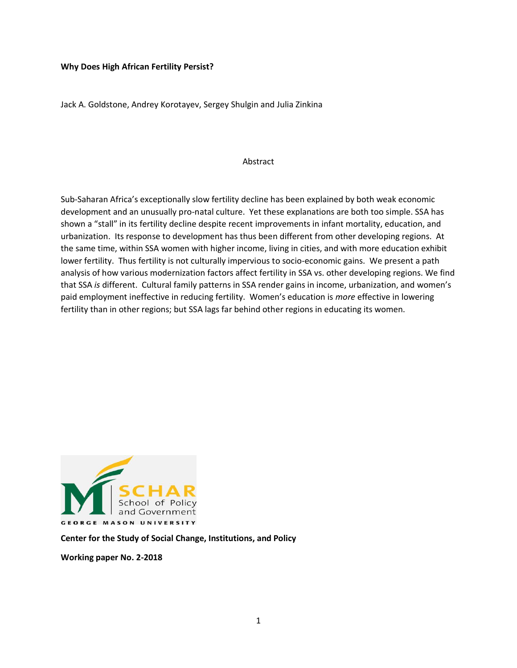#### **Why Does High African Fertility Persist?**

Jack A. Goldstone, Andrey Korotayev, Sergey Shulgin and Julia Zinkina

#### Abstract

Sub-Saharan Africa's exceptionally slow fertility decline has been explained by both weak economic development and an unusually pro-natal culture. Yet these explanations are both too simple. SSA has shown a "stall" in its fertility decline despite recent improvements in infant mortality, education, and urbanization. Its response to development has thus been different from other developing regions. At the same time, within SSA women with higher income, living in cities, and with more education exhibit lower fertility. Thus fertility is not culturally impervious to socio-economic gains. We present a path analysis of how various modernization factors affect fertility in SSA vs. other developing regions. We find that SSA *is* different. Cultural family patterns in SSA render gains in income, urbanization, and women's paid employment ineffective in reducing fertility. Women's education is *more* effective in lowering fertility than in other regions; but SSA lags far behind other regions in educating its women.



**Center for the Study of Social Change, Institutions, and Policy**

**Working paper No. 2-2018**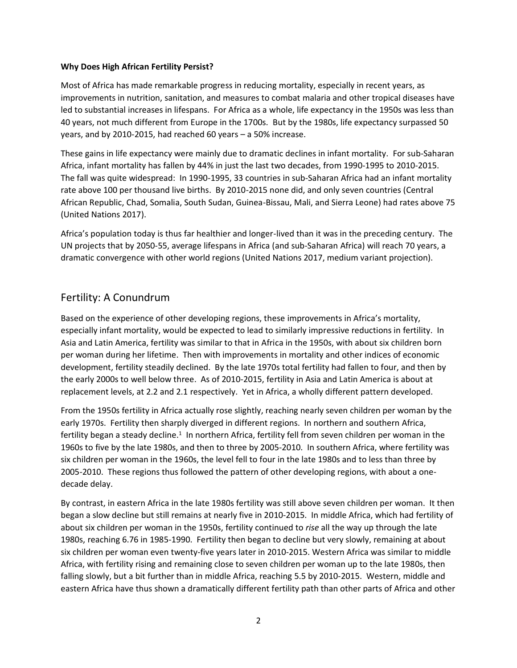#### **Why Does High African Fertility Persist?**

Most of Africa has made remarkable progress in reducing mortality, especially in recent years, as improvements in nutrition, sanitation, and measures to combat malaria and other tropical diseases have led to substantial increases in lifespans. For Africa as a whole, life expectancy in the 1950s was less than 40 years, not much different from Europe in the 1700s. But by the 1980s, life expectancy surpassed 50 years, and by 2010-2015, had reached 60 years – a 50% increase.

These gains in life expectancy were mainly due to dramatic declines in infant mortality. For sub-Saharan Africa, infant mortality has fallen by 44% in just the last two decades, from 1990-1995 to 2010-2015. The fall was quite widespread: In 1990-1995, 33 countries in sub-Saharan Africa had an infant mortality rate above 100 per thousand live births. By 2010-2015 none did, and only seven countries (Central African Republic, Chad, Somalia, South Sudan, Guinea-Bissau, Mali, and Sierra Leone) had rates above 75 (United Nations 2017).

Africa's population today is thus far healthier and longer-lived than it was in the preceding century. The UN projects that by 2050-55, average lifespans in Africa (and sub-Saharan Africa) will reach 70 years, a dramatic convergence with other world regions (United Nations 2017, medium variant projection).

### Fertility: A Conundrum

Based on the experience of other developing regions, these improvements in Africa's mortality, especially infant mortality, would be expected to lead to similarly impressive reductions in fertility. In Asia and Latin America, fertility was similar to that in Africa in the 1950s, with about six children born per woman during her lifetime. Then with improvements in mortality and other indices of economic development, fertility steadily declined. By the late 1970s total fertility had fallen to four, and then by the early 2000s to well below three. As of 2010-2015, fertility in Asia and Latin America is about at replacement levels, at 2.2 and 2.1 respectively. Yet in Africa, a wholly different pattern developed.

From the 1950s fertility in Africa actually rose slightly, reaching nearly seven children per woman by the early 1970s. Fertility then sharply diverged in different regions. In northern and southern Africa, fertility began a steady decline.<sup>1</sup> In northern Africa, fertility fell from seven children per woman in the 1960s to five by the late 1980s, and then to three by 2005-2010. In southern Africa, where fertility was six children per woman in the 1960s, the level fell to four in the late 1980s and to less than three by 2005-2010. These regions thus followed the pattern of other developing regions, with about a onedecade delay.

By contrast, in eastern Africa in the late 1980s fertility was still above seven children per woman. It then began a slow decline but still remains at nearly five in 2010-2015. In middle Africa, which had fertility of about six children per woman in the 1950s, fertility continued to *rise* all the way up through the late 1980s, reaching 6.76 in 1985-1990. Fertility then began to decline but very slowly, remaining at about six children per woman even twenty-five years later in 2010-2015. Western Africa was similar to middle Africa, with fertility rising and remaining close to seven children per woman up to the late 1980s, then falling slowly, but a bit further than in middle Africa, reaching 5.5 by 2010-2015. Western, middle and eastern Africa have thus shown a dramatically different fertility path than other parts of Africa and other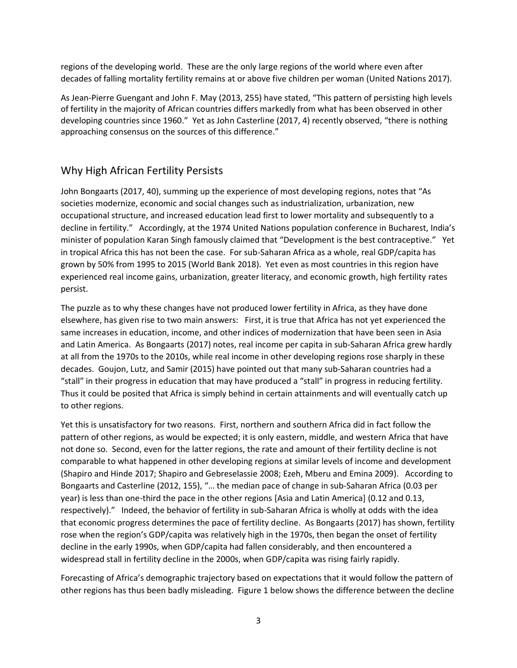regions of the developing world. These are the only large regions of the world where even after decades of falling mortality fertility remains at or above five children per woman (United Nations 2017).

As Jean-Pierre Guengant and John F. May (2013, 255) have stated, "This pattern of persisting high levels of fertility in the majority of African countries differs markedly from what has been observed in other developing countries since 1960." Yet as John Casterline (2017, 4) recently observed, "there is nothing approaching consensus on the sources of this difference."

## Why High African Fertility Persists

John Bongaarts (2017, 40), summing up the experience of most developing regions, notes that "As societies modernize, economic and social changes such as industrialization, urbanization, new occupational structure, and increased education lead first to lower mortality and subsequently to a decline in fertility." Accordingly, at the 1974 United Nations population conference in Bucharest, India's minister of population Karan Singh famously claimed that "Development is the best contraceptive." Yet in tropical Africa this has not been the case. For sub-Saharan Africa as a whole, real GDP/capita has grown by 50% from 1995 to 2015 (World Bank 2018). Yet even as most countries in this region have experienced real income gains, urbanization, greater literacy, and economic growth, high fertility rates persist.

The puzzle as to why these changes have not produced lower fertility in Africa, as they have done elsewhere, has given rise to two main answers: First, it is true that Africa has not yet experienced the same increases in education, income, and other indices of modernization that have been seen in Asia and Latin America. As Bongaarts (2017) notes, real income per capita in sub-Saharan Africa grew hardly at all from the 1970s to the 2010s, while real income in other developing regions rose sharply in these decades. Goujon, Lutz, and Samir (2015) have pointed out that many sub-Saharan countries had a "stall" in their progress in education that may have produced a "stall" in progress in reducing fertility. Thus it could be posited that Africa is simply behind in certain attainments and will eventually catch up to other regions.

Yet this is unsatisfactory for two reasons. First, northern and southern Africa did in fact follow the pattern of other regions, as would be expected; it is only eastern, middle, and western Africa that have not done so. Second, even for the latter regions, the rate and amount of their fertility decline is not comparable to what happened in other developing regions at similar levels of income and development (Shapiro and Hinde 2017; Shapiro and Gebreselassie 2008; Ezeh, Mberu and Emina 2009). According to Bongaarts and Casterline (2012, 155), "… the median pace of change in sub-Saharan Africa (0.03 per year) is less than one-third the pace in the other regions [Asia and Latin America] (0.12 and 0.13, respectively)." Indeed, the behavior of fertility in sub-Saharan Africa is wholly at odds with the idea that economic progress determines the pace of fertility decline. As Bongaarts (2017) has shown, fertility rose when the region's GDP/capita was relatively high in the 1970s, then began the onset of fertility decline in the early 1990s, when GDP/capita had fallen considerably, and then encountered a widespread stall in fertility decline in the 2000s, when GDP/capita was rising fairly rapidly.

Forecasting of Africa's demographic trajectory based on expectations that it would follow the pattern of other regions has thus been badly misleading. Figure 1 below shows the difference between the decline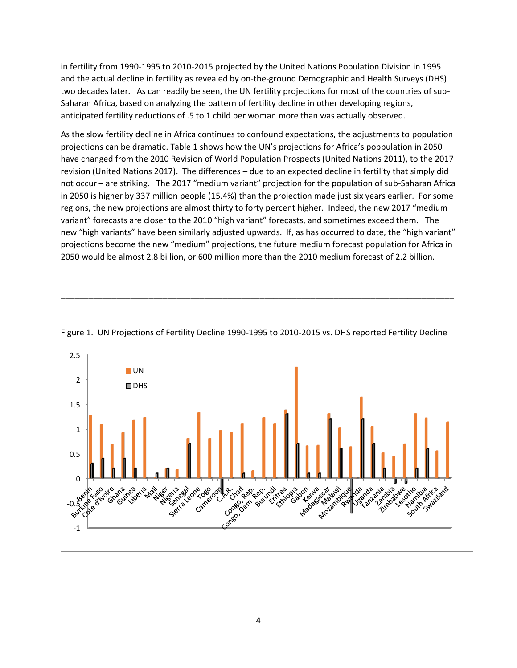in fertility from 1990-1995 to 2010-2015 projected by the United Nations Population Division in 1995 and the actual decline in fertility as revealed by on-the-ground Demographic and Health Surveys (DHS) two decades later. As can readily be seen, the UN fertility projections for most of the countries of sub-Saharan Africa, based on analyzing the pattern of fertility decline in other developing regions, anticipated fertility reductions of .5 to 1 child per woman more than was actually observed.

As the slow fertility decline in Africa continues to confound expectations, the adjustments to population projections can be dramatic. Table 1 shows how the UN's projections for Africa's poppulation in 2050 have changed from the 2010 Revision of World Population Prospects (United Nations 2011), to the 2017 revision (United Nations 2017). The differences – due to an expected decline in fertility that simply did not occur – are striking. The 2017 "medium variant" projection for the population of sub-Saharan Africa in 2050 is higher by 337 million people (15.4%) than the projection made just six years earlier. For some regions, the new projections are almost thirty to forty percent higher. Indeed, the new 2017 "medium variant" forecasts are closer to the 2010 "high variant" forecasts, and sometimes exceed them. The new "high variants" have been similarly adjusted upwards. If, as has occurred to date, the "high variant" projections become the new "medium" projections, the future medium forecast population for Africa in 2050 would be almost 2.8 billion, or 600 million more than the 2010 medium forecast of 2.2 billion.



Figure 1. UN Projections of Fertility Decline 1990-1995 to 2010-2015 vs. DHS reported Fertility Decline

\_\_\_\_\_\_\_\_\_\_\_\_\_\_\_\_\_\_\_\_\_\_\_\_\_\_\_\_\_\_\_\_\_\_\_\_\_\_\_\_\_\_\_\_\_\_\_\_\_\_\_\_\_\_\_\_\_\_\_\_\_\_\_\_\_\_\_\_\_\_\_\_\_\_\_\_\_\_\_\_\_\_\_\_\_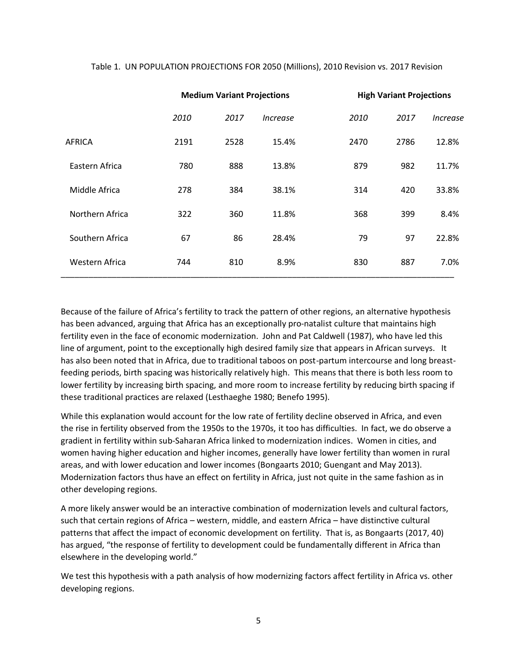|                 | <b>Medium Variant Projections</b> |      | <b>High Variant Projections</b> |      |      |          |
|-----------------|-----------------------------------|------|---------------------------------|------|------|----------|
|                 | 2010                              | 2017 | <i><u><b>Increase</b></u></i>   | 2010 | 2017 | Increase |
| <b>AFRICA</b>   | 2191                              | 2528 | 15.4%                           | 2470 | 2786 | 12.8%    |
| Eastern Africa  | 780                               | 888  | 13.8%                           | 879  | 982  | 11.7%    |
| Middle Africa   | 278                               | 384  | 38.1%                           | 314  | 420  | 33.8%    |
| Northern Africa | 322                               | 360  | 11.8%                           | 368  | 399  | 8.4%     |
| Southern Africa | 67                                | 86   | 28.4%                           | 79   | 97   | 22.8%    |
| Western Africa  | 744                               | 810  | 8.9%                            | 830  | 887  | 7.0%     |

#### Table 1. UN POPULATION PROJECTIONS FOR 2050 (Millions), 2010 Revision vs. 2017 Revision

Because of the failure of Africa's fertility to track the pattern of other regions, an alternative hypothesis has been advanced, arguing that Africa has an exceptionally pro-natalist culture that maintains high fertility even in the face of economic modernization. John and Pat Caldwell (1987), who have led this line of argument, point to the exceptionally high desired family size that appears in African surveys. It has also been noted that in Africa, due to traditional taboos on post-partum intercourse and long breastfeeding periods, birth spacing was historically relatively high. This means that there is both less room to lower fertility by increasing birth spacing, and more room to increase fertility by reducing birth spacing if these traditional practices are relaxed (Lesthaeghe 1980; Benefo 1995).

While this explanation would account for the low rate of fertility decline observed in Africa, and even the rise in fertility observed from the 1950s to the 1970s, it too has difficulties. In fact, we do observe a gradient in fertility within sub-Saharan Africa linked to modernization indices. Women in cities, and women having higher education and higher incomes, generally have lower fertility than women in rural areas, and with lower education and lower incomes (Bongaarts 2010; Guengant and May 2013). Modernization factors thus have an effect on fertility in Africa, just not quite in the same fashion as in other developing regions.

A more likely answer would be an interactive combination of modernization levels and cultural factors, such that certain regions of Africa – western, middle, and eastern Africa – have distinctive cultural patterns that affect the impact of economic development on fertility. That is, as Bongaarts (2017, 40) has argued, "the response of fertility to development could be fundamentally different in Africa than elsewhere in the developing world."

We test this hypothesis with a path analysis of how modernizing factors affect fertility in Africa vs. other developing regions.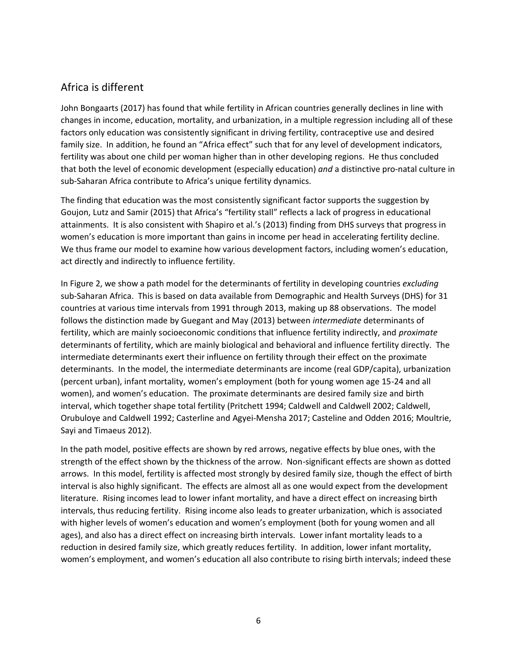# Africa is different

John Bongaarts (2017) has found that while fertility in African countries generally declines in line with changes in income, education, mortality, and urbanization, in a multiple regression including all of these factors only education was consistently significant in driving fertility, contraceptive use and desired family size. In addition, he found an "Africa effect" such that for any level of development indicators, fertility was about one child per woman higher than in other developing regions. He thus concluded that both the level of economic development (especially education) *and* a distinctive pro-natal culture in sub-Saharan Africa contribute to Africa's unique fertility dynamics.

The finding that education was the most consistently significant factor supports the suggestion by Goujon, Lutz and Samir (2015) that Africa's "fertility stall" reflects a lack of progress in educational attainments. It is also consistent with Shapiro et al.'s (2013) finding from DHS surveys that progress in women's education is more important than gains in income per head in accelerating fertility decline. We thus frame our model to examine how various development factors, including women's education, act directly and indirectly to influence fertility.

In Figure 2, we show a path model for the determinants of fertility in developing countries *excluding*  sub-Saharan Africa. This is based on data available from Demographic and Health Surveys (DHS) for 31 countries at various time intervals from 1991 through 2013, making up 88 observations. The model follows the distinction made by Guegant and May (2013) between *intermediate* determinants of fertility, which are mainly socioeconomic conditions that influence fertility indirectly, and *proximate* determinants of fertility, which are mainly biological and behavioral and influence fertility directly. The intermediate determinants exert their influence on fertility through their effect on the proximate determinants. In the model, the intermediate determinants are income (real GDP/capita), urbanization (percent urban), infant mortality, women's employment (both for young women age 15-24 and all women), and women's education. The proximate determinants are desired family size and birth interval, which together shape total fertility (Pritchett 1994; Caldwell and Caldwell 2002; Caldwell, Orubuloye and Caldwell 1992; Casterline and Agyei-Mensha 2017; Casteline and Odden 2016; Moultrie, Sayi and Timaeus 2012).

In the path model, positive effects are shown by red arrows, negative effects by blue ones, with the strength of the effect shown by the thickness of the arrow. Non-significant effects are shown as dotted arrows. In this model, fertility is affected most strongly by desired family size, though the effect of birth interval is also highly significant. The effects are almost all as one would expect from the development literature. Rising incomes lead to lower infant mortality, and have a direct effect on increasing birth intervals, thus reducing fertility. Rising income also leads to greater urbanization, which is associated with higher levels of women's education and women's employment (both for young women and all ages), and also has a direct effect on increasing birth intervals. Lower infant mortality leads to a reduction in desired family size, which greatly reduces fertility. In addition, lower infant mortality, women's employment, and women's education all also contribute to rising birth intervals; indeed these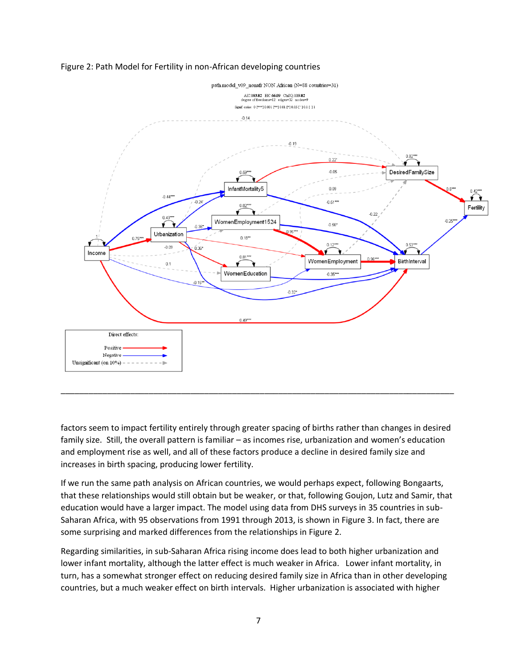



factors seem to impact fertility entirely through greater spacing of births rather than changes in desired family size. Still, the overall pattern is familiar – as incomes rise, urbanization and women's education and employment rise as well, and all of these factors produce a decline in desired family size and increases in birth spacing, producing lower fertility.

\_\_\_\_\_\_\_\_\_\_\_\_\_\_\_\_\_\_\_\_\_\_\_\_\_\_\_\_\_\_\_\_\_\_\_\_\_\_\_\_\_\_\_\_\_\_\_\_\_\_\_\_\_\_\_\_\_\_\_\_\_\_\_\_\_\_\_\_\_\_\_\_\_\_\_\_\_\_\_\_\_\_\_\_\_

If we run the same path analysis on African countries, we would perhaps expect, following Bongaarts, that these relationships would still obtain but be weaker, or that, following Goujon, Lutz and Samir, that education would have a larger impact. The model using data from DHS surveys in 35 countries in sub-Saharan Africa, with 95 observations from 1991 through 2013, is shown in Figure 3. In fact, there are some surprising and marked differences from the relationships in Figure 2.

Regarding similarities, in sub-Saharan Africa rising income does lead to both higher urbanization and lower infant mortality, although the latter effect is much weaker in Africa. Lower infant mortality, in turn, has a somewhat stronger effect on reducing desired family size in Africa than in other developing countries, but a much weaker effect on birth intervals. Higher urbanization is associated with higher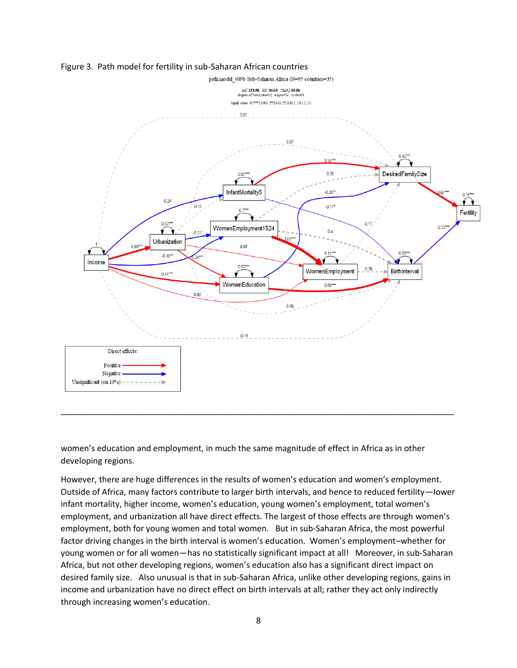

Figure 3. Path model for fertility in sub-Saharan African countries

women's education and employment, in much the same magnitude of effect in Africa as in other developing regions.

\_\_\_\_\_\_\_\_\_\_\_\_\_\_\_\_\_\_\_\_\_\_\_\_\_\_\_\_\_\_\_\_\_\_\_\_\_\_\_\_\_\_\_\_\_\_\_\_\_\_\_\_\_\_\_\_\_\_\_\_\_\_\_\_\_\_\_\_\_\_\_\_\_\_\_\_\_\_\_\_\_\_\_\_\_

However, there are huge differences in the results of women's education and women's employment. Outside of Africa, many factors contribute to larger birth intervals, and hence to reduced fertility—Iower infant mortality, higher income, women's education, young women's employment, total women's employment, and urbanization all have direct effects. The largest of those effects are through women's employment, both for young women and total women. But in sub-Saharan Africa, the most powerful factor driving changes in the birth interval is women's education. Women's employment–whether for young women or for all women—has no statistically significant impact at all! Moreover, in sub-Saharan Africa, but not other developing regions, women's education also has a significant direct impact on desired family size. Also unusual is that in sub-Saharan Africa, unlike other developing regions, gains in income and urbanization have no direct effect on birth intervals at all; rather they act only indirectly through increasing women's education.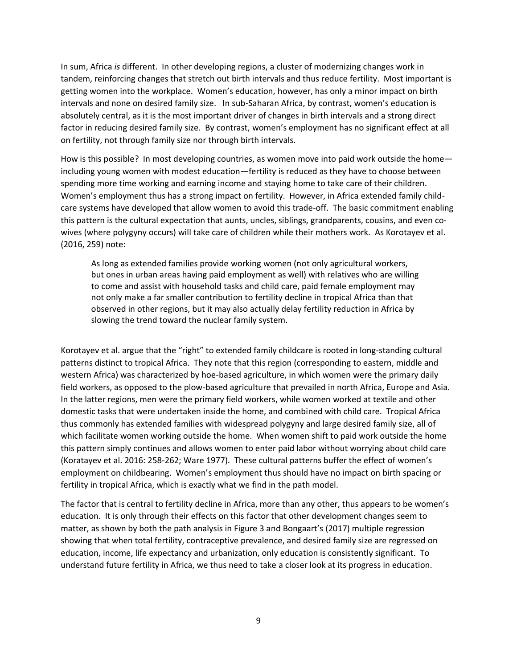In sum, Africa *is* different. In other developing regions, a cluster of modernizing changes work in tandem, reinforcing changes that stretch out birth intervals and thus reduce fertility. Most important is getting women into the workplace. Women's education, however, has only a minor impact on birth intervals and none on desired family size. In sub-Saharan Africa, by contrast, women's education is absolutely central, as it is the most important driver of changes in birth intervals and a strong direct factor in reducing desired family size. By contrast, women's employment has no significant effect at all on fertility, not through family size nor through birth intervals.

How is this possible? In most developing countries, as women move into paid work outside the home including young women with modest education—fertility is reduced as they have to choose between spending more time working and earning income and staying home to take care of their children. Women's employment thus has a strong impact on fertility. However, in Africa extended family childcare systems have developed that allow women to avoid this trade-off. The basic commitment enabling this pattern is the cultural expectation that aunts, uncles, siblings, grandparents, cousins, and even cowives (where polygyny occurs) will take care of children while their mothers work. As Korotayev et al. (2016, 259) note:

As long as extended families provide working women (not only agricultural workers, but ones in urban areas having paid employment as well) with relatives who are willing to come and assist with household tasks and child care, paid female employment may not only make a far smaller contribution to fertility decline in tropical Africa than that observed in other regions, but it may also actually delay fertility reduction in Africa by slowing the trend toward the nuclear family system.

Korotayev et al. argue that the "right" to extended family childcare is rooted in long-standing cultural patterns distinct to tropical Africa. They note that this region (corresponding to eastern, middle and western Africa) was characterized by hoe-based agriculture, in which women were the primary daily field workers, as opposed to the plow-based agriculture that prevailed in north Africa, Europe and Asia. In the latter regions, men were the primary field workers, while women worked at textile and other domestic tasks that were undertaken inside the home, and combined with child care. Tropical Africa thus commonly has extended families with widespread polygyny and large desired family size, all of which facilitate women working outside the home. When women shift to paid work outside the home this pattern simply continues and allows women to enter paid labor without worrying about child care (Koratayev et al. 2016: 258-262; Ware 1977). These cultural patterns buffer the effect of women's employment on childbearing. Women's employment thus should have no impact on birth spacing or fertility in tropical Africa, which is exactly what we find in the path model.

The factor that is central to fertility decline in Africa, more than any other, thus appears to be women's education. It is only through their effects on this factor that other development changes seem to matter, as shown by both the path analysis in Figure 3 and Bongaart's (2017) multiple regression showing that when total fertility, contraceptive prevalence, and desired family size are regressed on education, income, life expectancy and urbanization, only education is consistently significant. To understand future fertility in Africa, we thus need to take a closer look at its progress in education.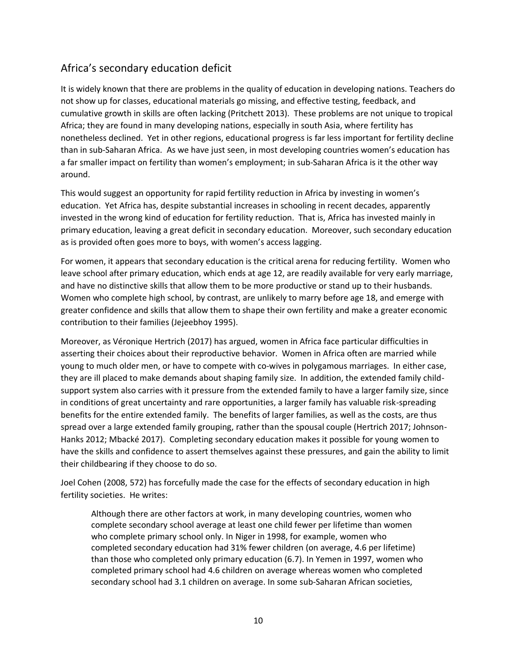# Africa's secondary education deficit

It is widely known that there are problems in the quality of education in developing nations. Teachers do not show up for classes, educational materials go missing, and effective testing, feedback, and cumulative growth in skills are often lacking (Pritchett 2013). These problems are not unique to tropical Africa; they are found in many developing nations, especially in south Asia, where fertility has nonetheless declined. Yet in other regions, educational progress is far less important for fertility decline than in sub-Saharan Africa. As we have just seen, in most developing countries women's education has a far smaller impact on fertility than women's employment; in sub-Saharan Africa is it the other way around.

This would suggest an opportunity for rapid fertility reduction in Africa by investing in women's education. Yet Africa has, despite substantial increases in schooling in recent decades, apparently invested in the wrong kind of education for fertility reduction. That is, Africa has invested mainly in primary education, leaving a great deficit in secondary education. Moreover, such secondary education as is provided often goes more to boys, with women's access lagging.

For women, it appears that secondary education is the critical arena for reducing fertility. Women who leave school after primary education, which ends at age 12, are readily available for very early marriage, and have no distinctive skills that allow them to be more productive or stand up to their husbands. Women who complete high school, by contrast, are unlikely to marry before age 18, and emerge with greater confidence and skills that allow them to shape their own fertility and make a greater economic contribution to their families (Jejeebhoy 1995).

Moreover, as Véronique Hertrich (2017) has argued, women in Africa face particular difficulties in asserting their choices about their reproductive behavior. Women in Africa often are married while young to much older men, or have to compete with co-wives in polygamous marriages. In either case, they are ill placed to make demands about shaping family size. In addition, the extended family childsupport system also carries with it pressure from the extended family to have a larger family size, since in conditions of great uncertainty and rare opportunities, a larger family has valuable risk-spreading benefits for the entire extended family. The benefits of larger families, as well as the costs, are thus spread over a large extended family grouping, rather than the spousal couple (Hertrich 2017; Johnson-Hanks 2012; Mbacké 2017). Completing secondary education makes it possible for young women to have the skills and confidence to assert themselves against these pressures, and gain the ability to limit their childbearing if they choose to do so.

Joel Cohen (2008, 572) has forcefully made the case for the effects of secondary education in high fertility societies. He writes:

Although there are other factors at work, in many developing countries, women who complete secondary school average at least one child fewer per lifetime than women who complete primary school only. In Niger in 1998, for example, women who completed secondary education had 31% fewer children (on average, 4.6 per lifetime) than those who completed only primary education (6.7). In Yemen in 1997, women who completed primary school had 4.6 children on average whereas women who completed secondary school had 3.1 children on average. In some sub-Saharan African societies,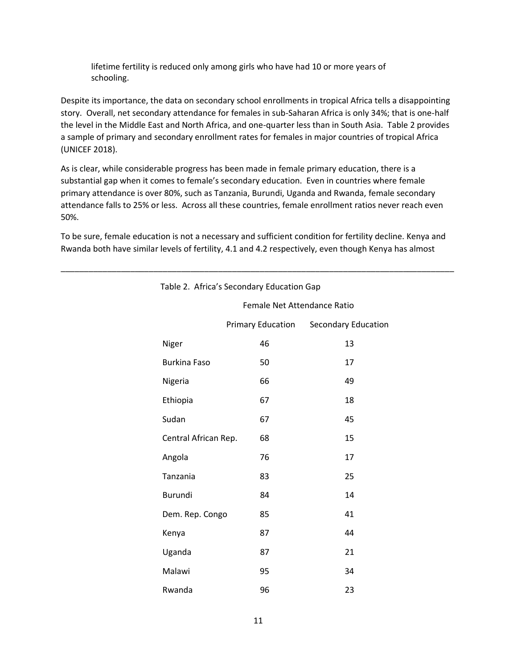lifetime fertility is reduced only among girls who have had 10 or more years of schooling.

Despite its importance, the data on secondary school enrollments in tropical Africa tells a disappointing story. Overall, net secondary attendance for females in sub-Saharan Africa is only 34%; that is one-half the level in the Middle East and North Africa, and one-quarter less than in South Asia. Table 2 provides a sample of primary and secondary enrollment rates for females in major countries of tropical Africa (UNICEF 2018).

As is clear, while considerable progress has been made in female primary education, there is a substantial gap when it comes to female's secondary education. Even in countries where female primary attendance is over 80%, such as Tanzania, Burundi, Uganda and Rwanda, female secondary attendance falls to 25% or less. Across all these countries, female enrollment ratios never reach even 50%.

To be sure, female education is not a necessary and sufficient condition for fertility decline. Kenya and Rwanda both have similar levels of fertility, 4.1 and 4.2 respectively, even though Kenya has almost

\_\_\_\_\_\_\_\_\_\_\_\_\_\_\_\_\_\_\_\_\_\_\_\_\_\_\_\_\_\_\_\_\_\_\_\_\_\_\_\_\_\_\_\_\_\_\_\_\_\_\_\_\_\_\_\_\_\_\_\_\_\_\_\_\_\_\_\_\_\_\_\_\_\_\_\_\_\_\_\_\_\_\_\_\_

|                      | Table 2. Africa's Secondary Education Gap |                            |  |  |  |  |
|----------------------|-------------------------------------------|----------------------------|--|--|--|--|
|                      | Female Net Attendance Ratio               |                            |  |  |  |  |
|                      | <b>Primary Education</b>                  | <b>Secondary Education</b> |  |  |  |  |
| Niger                | 46                                        | 13                         |  |  |  |  |
| <b>Burkina Faso</b>  | 50                                        | 17                         |  |  |  |  |
| Nigeria              | 66                                        | 49                         |  |  |  |  |
| Ethiopia             | 67                                        | 18                         |  |  |  |  |
| Sudan                | 67                                        | 45                         |  |  |  |  |
| Central African Rep. | 68                                        | 15                         |  |  |  |  |
| Angola               | 76                                        | 17                         |  |  |  |  |
| Tanzania             | 83                                        | 25                         |  |  |  |  |
| Burundi              | 84                                        | 14                         |  |  |  |  |
| Dem. Rep. Congo      | 85                                        | 41                         |  |  |  |  |
| Kenya                | 87                                        | 44                         |  |  |  |  |
| Uganda               | 87                                        | 21                         |  |  |  |  |
| Malawi               | 95                                        | 34                         |  |  |  |  |
| Rwanda               | 96                                        | 23                         |  |  |  |  |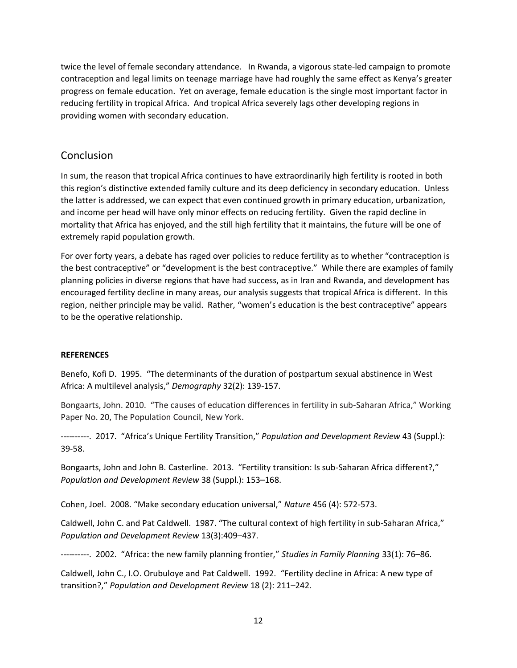twice the level of female secondary attendance. In Rwanda, a vigorous state-led campaign to promote contraception and legal limits on teenage marriage have had roughly the same effect as Kenya's greater progress on female education. Yet on average, female education is the single most important factor in reducing fertility in tropical Africa. And tropical Africa severely lags other developing regions in providing women with secondary education.

## Conclusion

In sum, the reason that tropical Africa continues to have extraordinarily high fertility is rooted in both this region's distinctive extended family culture and its deep deficiency in secondary education. Unless the latter is addressed, we can expect that even continued growth in primary education, urbanization, and income per head will have only minor effects on reducing fertility. Given the rapid decline in mortality that Africa has enjoyed, and the still high fertility that it maintains, the future will be one of extremely rapid population growth.

For over forty years, a debate has raged over policies to reduce fertility as to whether "contraception is the best contraceptive" or "development is the best contraceptive." While there are examples of family planning policies in diverse regions that have had success, as in Iran and Rwanda, and development has encouraged fertility decline in many areas, our analysis suggests that tropical Africa is different. In this region, neither principle may be valid. Rather, "women's education is the best contraceptive" appears to be the operative relationship.

### **REFERENCES**

Benefo, Kofi D. 1995. "The determinants of the duration of postpartum sexual abstinence in West Africa: A multilevel analysis," *Demography* 32(2): 139-157.

Bongaarts, John. 2010. "The causes of education differences in fertility in sub-Saharan Africa," Working Paper No. 20, The Population Council, New York.

----------. 2017. "Africa's Unique Fertility Transition," *Population and Development Review* 43 (Suppl.): 39-58.

Bongaarts, John and John B. Casterline. 2013. "Fertility transition: Is sub-Saharan Africa different?," *Population and Development Review* 38 (Suppl.): 153–168.

Cohen, Joel. 2008. "Make secondary education universal," *Nature* 456 (4): 572-573.

Caldwell, John C. and Pat Caldwell. 1987. "The cultural context of high fertility in sub-Saharan Africa," *Population and Development Review* 13(3):409–437.

----------. 2002. "Africa: the new family planning frontier," *Studies in Family Planning* 33(1): 76–86.

Caldwell, John C., I.O. Orubuloye and Pat Caldwell. 1992. "Fertility decline in Africa: A new type of transition?," *Population and Development Review* 18 (2): 211–242.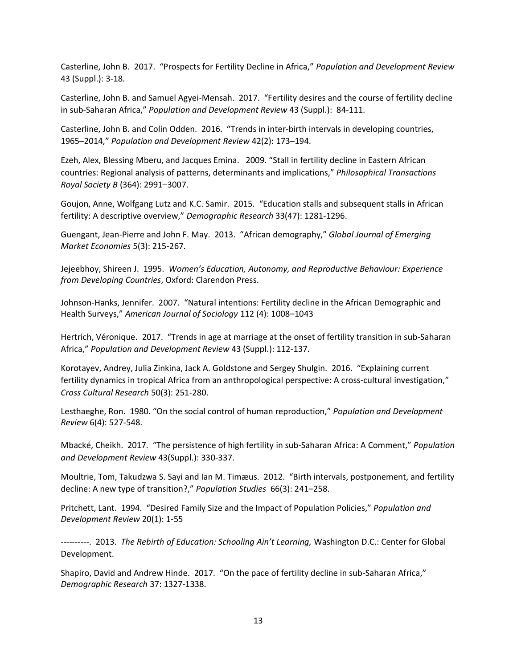Casterline, John B. 2017. "Prospects for Fertility Decline in Africa," *Population and Development Review*  43 (Suppl.): 3-18.

Casterline, John B. and Samuel Agyei-Mensah. 2017. "Fertility desires and the course of fertility decline in sub-Saharan Africa," *Population and Development Review* 43 (Suppl.): 84-111.

Casterline, John B. and Colin Odden. 2016. "Trends in inter-birth intervals in developing countries, 1965–2014," *Population and Development Review* 42(2): 173–194.

Ezeh, Alex, Blessing Mberu, and Jacques Emina. 2009. "Stall in fertility decline in Eastern African countries: Regional analysis of patterns, determinants and implications," *Philosophical Transactions Royal Society B* (364): 2991–3007.

Goujon, Anne, Wolfgang Lutz and K.C. Samir. 2015. "Education stalls and subsequent stalls in African fertility: A descriptive overview," *Demographic Research* 33(47): 1281-1296.

Guengant, Jean-Pierre and John F. May. 2013. "African demography," *Global Journal of Emerging Market Economies* 5(3): 215-267.

Jejeebhoy, Shireen J. 1995. *Women's Education, Autonomy, and Reproductive Behaviour: Experience from Developing Countries*, Oxford: Clarendon Press.

Johnson-Hanks, Jennifer. 2007. "Natural intentions: Fertility decline in the African Demographic and Health Surveys," *American Journal of Sociology* 112 (4): 1008–1043

Hertrich, Véronique. 2017. "Trends in age at marriage at the onset of fertility transition in sub-Saharan Africa," *Population and Development Review* 43 (Suppl.): 112-137.

Korotayev, Andrey, Julia Zinkina, Jack A. Goldstone and Sergey Shulgin. 2016. "Explaining current fertility dynamics in tropical Africa from an anthropological perspective: A cross-cultural investigation," *Cross Cultural Research* 50(3): 251-280.

Lesthaeghe, Ron. 1980. "On the social control of human reproduction," *Population and Development Review* 6(4): 527-548.

Mbacké, Cheikh. 2017. "The persistence of high fertility in sub-Saharan Africa: A Comment," *Population and Development Review* 43(Suppl.): 330-337.

Moultrie, Tom, Takudzwa S. Sayi and Ian M. Timæus. 2012. "Birth intervals, postponement, and fertility decline: A new type of transition?," *Population Studies* 66(3): 241–258.

Pritchett, Lant. 1994. "Desired Family Size and the Impact of Population Policies," *Population and Development Review* 20(1): 1-55

----------. 2013. *The Rebirth of Education: Schooling Ain't Learning,* Washington D.C.: Center for Global Development.

Shapiro, David and Andrew Hinde. 2017. "On the pace of fertility decline in sub-Saharan Africa," *Demographic Research* 37: 1327-1338.